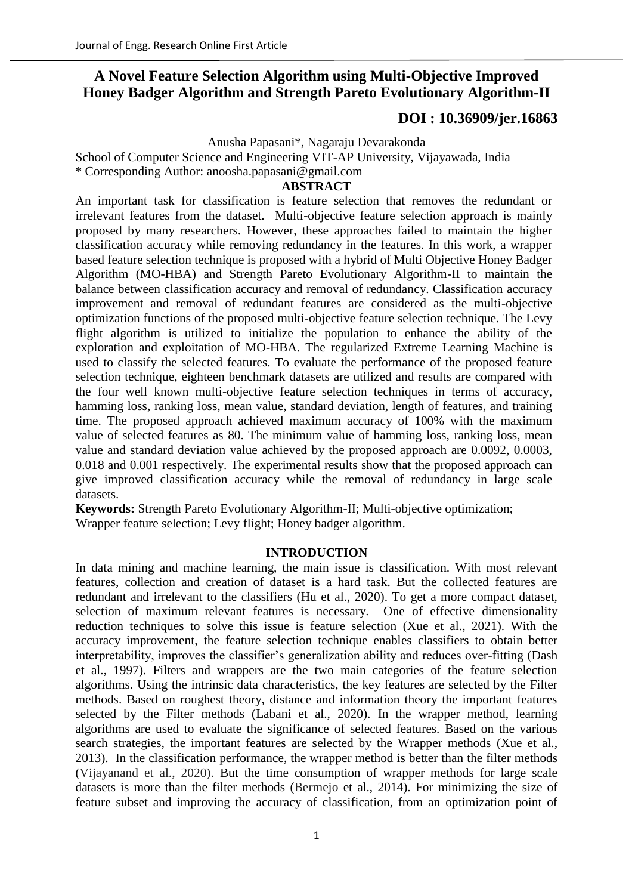# **A Novel Feature Selection Algorithm using Multi-Objective Improved Honey Badger Algorithm and Strength Pareto Evolutionary Algorithm-II**

## **[DOI : 10.36909/jer.16863](https://doi.org/10.36909/jer.16863)**

Anusha Papasani\*, Nagaraju Devarakonda

School of Computer Science and Engineering VIT-AP University, Vijayawada, India

\* Corresponding Author: anoosha.papasani@gmail.com

## **ABSTRACT**

An important task for classification is feature selection that removes the redundant or irrelevant features from the dataset. Multi-objective feature selection approach is mainly proposed by many researchers. However, these approaches failed to maintain the higher classification accuracy while removing redundancy in the features. In this work, a wrapper based feature selection technique is proposed with a hybrid of Multi Objective Honey Badger Algorithm (MO-HBA) and Strength Pareto Evolutionary Algorithm-II to maintain the balance between classification accuracy and removal of redundancy. Classification accuracy improvement and removal of redundant features are considered as the multi-objective optimization functions of the proposed multi-objective feature selection technique. The Levy flight algorithm is utilized to initialize the population to enhance the ability of the exploration and exploitation of MO-HBA. The regularized Extreme Learning Machine is used to classify the selected features. To evaluate the performance of the proposed feature selection technique, eighteen benchmark datasets are utilized and results are compared with the four well known multi-objective feature selection techniques in terms of accuracy, hamming loss, ranking loss, mean value, standard deviation, length of features, and training time. The proposed approach achieved maximum accuracy of 100% with the maximum value of selected features as 80. The minimum value of hamming loss, ranking loss, mean value and standard deviation value achieved by the proposed approach are 0.0092, 0.0003, 0.018 and 0.001 respectively. The experimental results show that the proposed approach can give improved classification accuracy while the removal of redundancy in large scale datasets.

**Keywords:** Strength Pareto Evolutionary Algorithm-II; Multi-objective optimization; Wrapper feature selection; Levy flight; Honey badger algorithm.

## **INTRODUCTION**

In data mining and machine learning, the main issue is classification. With most relevant features, collection and creation of dataset is a hard task. But the collected features are redundant and irrelevant to the classifiers (Hu et al., 2020). To get a more compact dataset, selection of maximum relevant features is necessary. One of effective dimensionality reduction techniques to solve this issue is feature selection (Xue et al., 2021). With the accuracy improvement, the feature selection technique enables classifiers to obtain better interpretability, improves the classifier's generalization ability and reduces over-fitting (Dash et al., 1997). Filters and wrappers are the two main categories of the feature selection algorithms. Using the intrinsic data characteristics, the key features are selected by the Filter methods. Based on roughest theory, distance and information theory the important features selected by the Filter methods (Labani et al., 2020). In the wrapper method, learning algorithms are used to evaluate the significance of selected features. Based on the various search strategies, the important features are selected by the Wrapper methods (Xue et al., 2013). In the classification performance, the wrapper method is better than the filter methods (Vijayanand et al., 2020). But the time consumption of wrapper methods for large scale datasets is more than the filter methods (Bermejo et al., 2014). For minimizing the size of feature subset and improving the accuracy of classification, from an optimization point of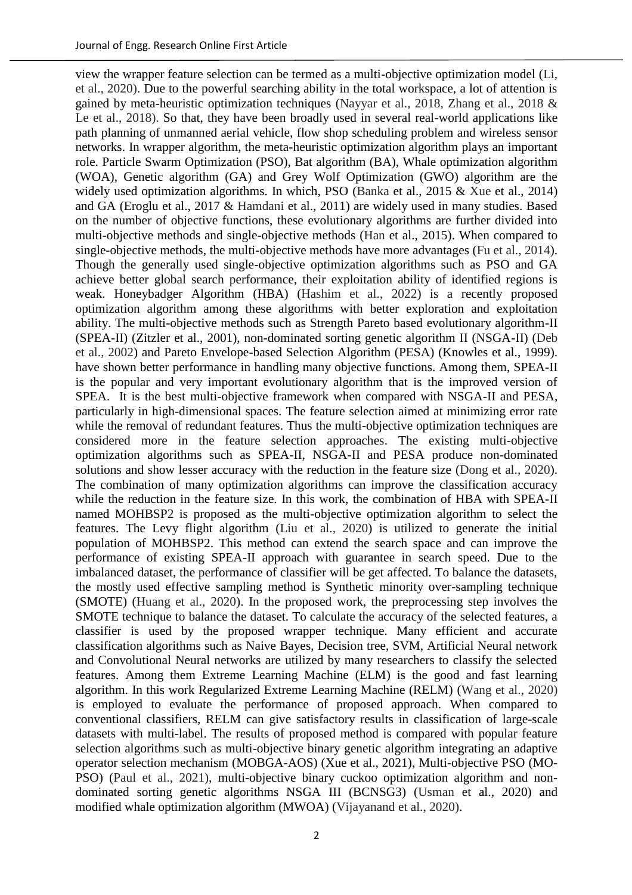view the wrapper feature selection can be termed as a multi-objective optimization model (Li, et al., 2020). Due to the powerful searching ability in the total workspace, a lot of attention is gained by meta-heuristic optimization techniques (Nayyar et al., 2018, Zhang et al., 2018 & Le et al., 2018). So that, they have been broadly used in several real-world applications like path planning of unmanned aerial vehicle, flow shop scheduling problem and wireless sensor networks. In wrapper algorithm, the meta-heuristic optimization algorithm plays an important role. Particle Swarm Optimization (PSO), Bat algorithm (BA), Whale optimization algorithm (WOA), Genetic algorithm (GA) and Grey Wolf Optimization (GWO) algorithm are the widely used optimization algorithms. In which, PSO (Banka et al., 2015 & Xue et al., 2014) and GA (Eroglu et al., 2017 & Hamdani et al., 2011) are widely used in many studies. Based on the number of objective functions, these evolutionary algorithms are further divided into multi-objective methods and single-objective methods (Han et al., 2015). When compared to single-objective methods, the multi-objective methods have more advantages (Fu et al., 2014). Though the generally used single-objective optimization algorithms such as PSO and GA achieve better global search performance, their exploitation ability of identified regions is weak. Honeybadger Algorithm (HBA) (Hashim et al., 2022) is a recently proposed optimization algorithm among these algorithms with better exploration and exploitation ability. The multi-objective methods such as Strength Pareto based evolutionary algorithm-II (SPEA-II) (Zitzler et al., 2001), non-dominated sorting genetic algorithm II (NSGA-II) (Deb et al., 2002) and Pareto Envelope-based Selection Algorithm (PESA) (Knowles et al., 1999). have shown better performance in handling many objective functions. Among them, SPEA-II is the popular and very important evolutionary algorithm that is the improved version of SPEA. It is the best multi-objective framework when compared with NSGA-II and PESA, particularly in high-dimensional spaces. The feature selection aimed at minimizing error rate while the removal of redundant features. Thus the multi-objective optimization techniques are considered more in the feature selection approaches. The existing multi-objective optimization algorithms such as SPEA-II, NSGA-II and PESA produce non-dominated solutions and show lesser accuracy with the reduction in the feature size (Dong et al., 2020). The combination of many optimization algorithms can improve the classification accuracy while the reduction in the feature size. In this work, the combination of HBA with SPEA-II named MOHBSP2 is proposed as the multi-objective optimization algorithm to select the features. The Levy flight algorithm (Liu et al., 2020) is utilized to generate the initial population of MOHBSP2. This method can extend the search space and can improve the performance of existing SPEA-II approach with guarantee in search speed. Due to the imbalanced dataset, the performance of classifier will be get affected. To balance the datasets, the mostly used effective sampling method is Synthetic minority over-sampling technique (SMOTE) (Huang et al., 2020). In the proposed work, the preprocessing step involves the SMOTE technique to balance the dataset. To calculate the accuracy of the selected features, a classifier is used by the proposed wrapper technique. Many efficient and accurate classification algorithms such as Naive Bayes, Decision tree, SVM, Artificial Neural network and Convolutional Neural networks are utilized by many researchers to classify the selected features. Among them Extreme Learning Machine (ELM) is the good and fast learning algorithm. In this work Regularized Extreme Learning Machine (RELM) (Wang et al., 2020) is employed to evaluate the performance of proposed approach. When compared to conventional classifiers, RELM can give satisfactory results in classification of large-scale datasets with multi-label. The results of proposed method is compared with popular feature selection algorithms such as multi-objective binary genetic algorithm integrating an adaptive operator selection mechanism (MOBGA-AOS) (Xue et al., 2021), Multi-objective PSO (MO-PSO) (Paul et al., 2021), multi-objective binary cuckoo optimization algorithm and nondominated sorting genetic algorithms NSGA III (BCNSG3) (Usman et al., 2020) and modified whale optimization algorithm (MWOA) (Vijayanand et al., 2020).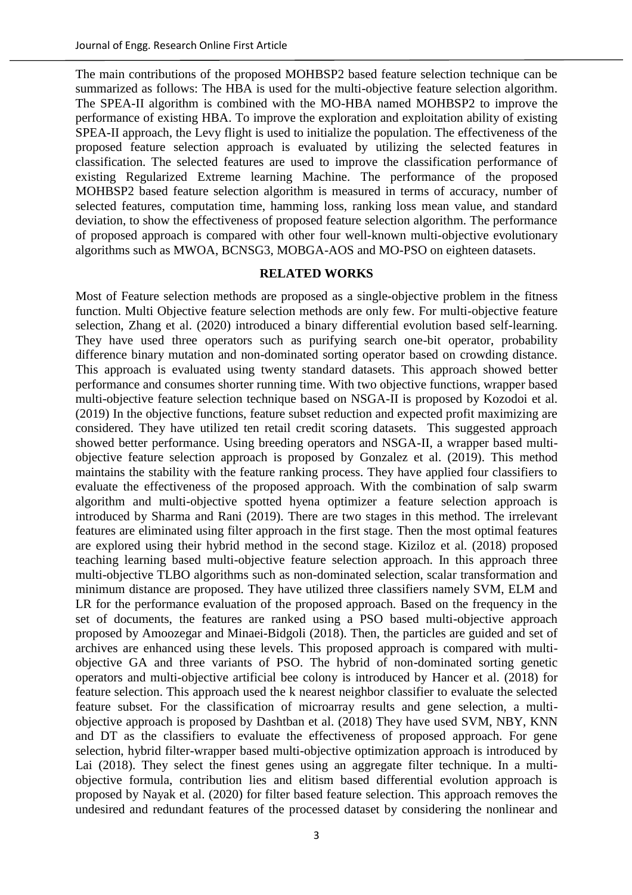The main contributions of the proposed MOHBSP2 based feature selection technique can be summarized as follows: The HBA is used for the multi-objective feature selection algorithm. The SPEA-II algorithm is combined with the MO-HBA named MOHBSP2 to improve the performance of existing HBA. To improve the exploration and exploitation ability of existing SPEA-II approach, the Levy flight is used to initialize the population. The effectiveness of the proposed feature selection approach is evaluated by utilizing the selected features in classification. The selected features are used to improve the classification performance of existing Regularized Extreme learning Machine. The performance of the proposed MOHBSP2 based feature selection algorithm is measured in terms of accuracy, number of selected features, computation time, hamming loss, ranking loss mean value, and standard deviation, to show the effectiveness of proposed feature selection algorithm. The performance of proposed approach is compared with other four well-known multi-objective evolutionary algorithms such as MWOA, BCNSG3, MOBGA-AOS and MO-PSO on eighteen datasets.

## **RELATED WORKS**

Most of Feature selection methods are proposed as a single-objective problem in the fitness function. Multi Objective feature selection methods are only few. For multi-objective feature selection, Zhang et al. (2020) introduced a binary differential evolution based self-learning. They have used three operators such as purifying search one-bit operator, probability difference binary mutation and non-dominated sorting operator based on crowding distance. This approach is evaluated using twenty standard datasets. This approach showed better performance and consumes shorter running time. With two objective functions, wrapper based multi-objective feature selection technique based on NSGA-II is proposed by Kozodoi et al. (2019) In the objective functions, feature subset reduction and expected profit maximizing are considered. They have utilized ten retail credit scoring datasets. This suggested approach showed better performance. Using breeding operators and NSGA-II, a wrapper based multiobjective feature selection approach is proposed by Gonzalez et al. (2019). This method maintains the stability with the feature ranking process. They have applied four classifiers to evaluate the effectiveness of the proposed approach. With the combination of salp swarm algorithm and multi-objective spotted hyena optimizer a feature selection approach is introduced by Sharma and Rani (2019). There are two stages in this method. The irrelevant features are eliminated using filter approach in the first stage. Then the most optimal features are explored using their hybrid method in the second stage. Kiziloz et al. (2018) proposed teaching learning based multi-objective feature selection approach. In this approach three multi-objective TLBO algorithms such as non-dominated selection, scalar transformation and minimum distance are proposed. They have utilized three classifiers namely SVM, ELM and LR for the performance evaluation of the proposed approach. Based on the frequency in the set of documents, the features are ranked using a PSO based multi-objective approach proposed by Amoozegar and Minaei-Bidgoli (2018). Then, the particles are guided and set of archives are enhanced using these levels. This proposed approach is compared with multiobjective GA and three variants of PSO. The hybrid of non-dominated sorting genetic operators and multi-objective artificial bee colony is introduced by Hancer et al. (2018) for feature selection. This approach used the k nearest neighbor classifier to evaluate the selected feature subset. For the classification of microarray results and gene selection, a multiobjective approach is proposed by Dashtban et al. (2018) They have used SVM, NBY, KNN and DT as the classifiers to evaluate the effectiveness of proposed approach. For gene selection, hybrid filter-wrapper based multi-objective optimization approach is introduced by Lai (2018). They select the finest genes using an aggregate filter technique. In a multiobjective formula, contribution lies and elitism based differential evolution approach is proposed by Nayak et al. (2020) for filter based feature selection. This approach removes the undesired and redundant features of the processed dataset by considering the nonlinear and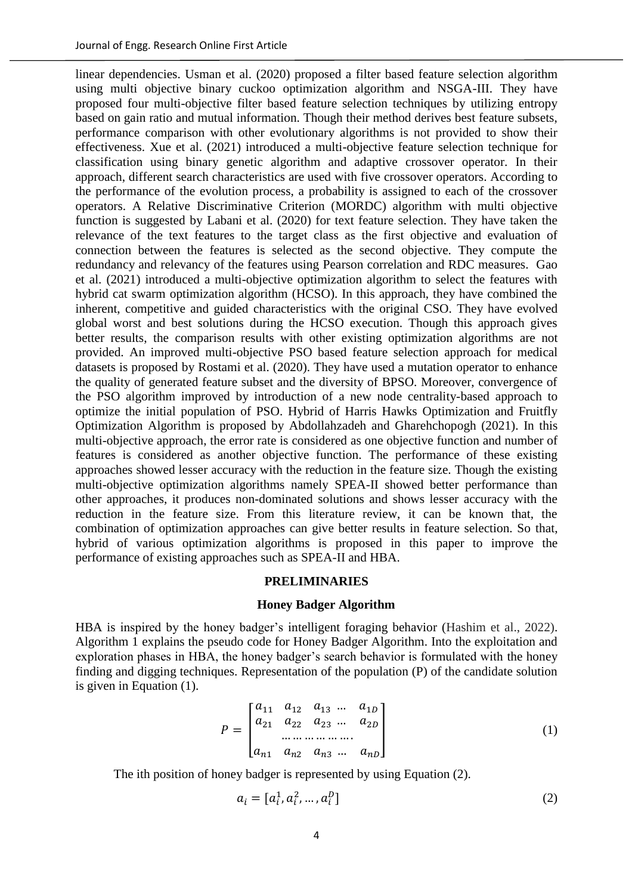linear dependencies. Usman et al. (2020) proposed a filter based feature selection algorithm using multi objective binary cuckoo optimization algorithm and NSGA-III. They have proposed four multi-objective filter based feature selection techniques by utilizing entropy based on gain ratio and mutual information. Though their method derives best feature subsets, performance comparison with other evolutionary algorithms is not provided to show their effectiveness. Xue et al. (2021) introduced a multi-objective feature selection technique for classification using binary genetic algorithm and adaptive crossover operator. In their approach, different search characteristics are used with five crossover operators. According to the performance of the evolution process, a probability is assigned to each of the crossover operators. A Relative Discriminative Criterion (MORDC) algorithm with multi objective function is suggested by Labani et al. (2020) for text feature selection. They have taken the relevance of the text features to the target class as the first objective and evaluation of connection between the features is selected as the second objective. They compute the redundancy and relevancy of the features using Pearson correlation and RDC measures. Gao et al. (2021) introduced a multi-objective optimization algorithm to select the features with hybrid cat swarm optimization algorithm (HCSO). In this approach, they have combined the inherent, competitive and guided characteristics with the original CSO. They have evolved global worst and best solutions during the HCSO execution. Though this approach gives better results, the comparison results with other existing optimization algorithms are not provided. An improved multi-objective PSO based feature selection approach for medical datasets is proposed by Rostami et al. (2020). They have used a mutation operator to enhance the quality of generated feature subset and the diversity of BPSO. Moreover, convergence of the PSO algorithm improved by introduction of a new node centrality-based approach to optimize the initial population of PSO. Hybrid of Harris Hawks Optimization and Fruitfly Optimization Algorithm is proposed by Abdollahzadeh and Gharehchopogh (2021). In this multi-objective approach, the error rate is considered as one objective function and number of features is considered as another objective function. The performance of these existing approaches showed lesser accuracy with the reduction in the feature size. Though the existing multi-objective optimization algorithms namely SPEA-II showed better performance than other approaches, it produces non-dominated solutions and shows lesser accuracy with the reduction in the feature size. From this literature review, it can be known that, the combination of optimization approaches can give better results in feature selection. So that, hybrid of various optimization algorithms is proposed in this paper to improve the performance of existing approaches such as SPEA-II and HBA.

## **PRELIMINARIES**

## **Honey Badger Algorithm**

HBA is inspired by the honey badger's intelligent foraging behavior (Hashim et al., 2022). Algorithm 1 explains the pseudo code for Honey Badger Algorithm. Into the exploitation and exploration phases in HBA, the honey badger's search behavior is formulated with the honey finding and digging techniques. Representation of the population (P) of the candidate solution is given in Equation (1).

$$
P = \begin{bmatrix} a_{11} & a_{12} & a_{13} & \dots & a_{1D} \\ a_{21} & a_{22} & a_{23} & \dots & a_{2D} \\ \dots & \dots & \dots & \dots & \dots \\ a_{n1} & a_{n2} & a_{n3} & \dots & a_{nD} \end{bmatrix}
$$
 (1)

The ith position of honey badger is represented by using Equation (2).

$$
a_i = [a_i^1, a_i^2, ..., a_i^D]
$$
 (2)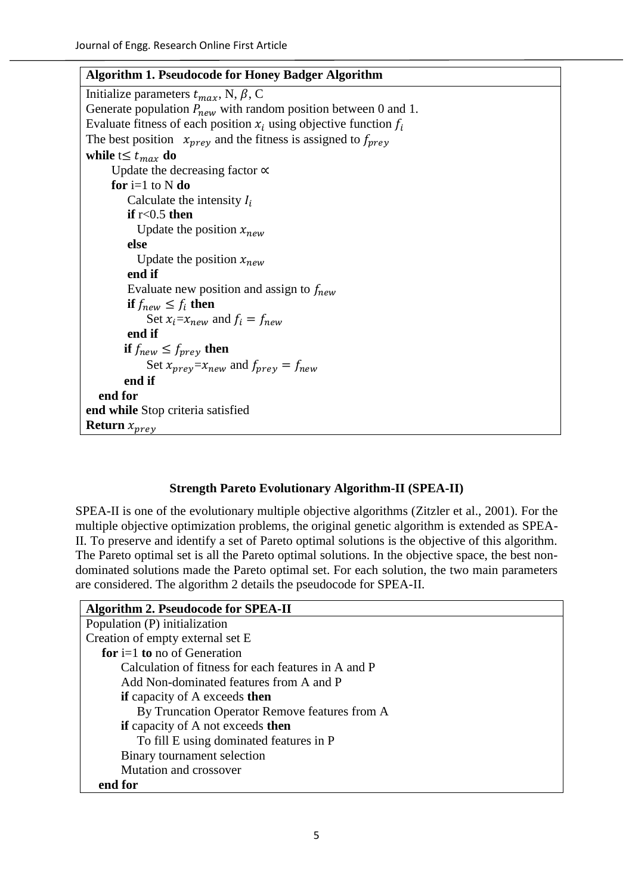| <b>Algorithm 1. Pseudocode for Honey Badger Algorithm</b>              |
|------------------------------------------------------------------------|
| Initialize parameters $t_{max}$ , N, $\beta$ , C                       |
| Generate population $P_{new}$ with random position between 0 and 1.    |
| Evaluate fitness of each position $x_i$ using objective function $f_i$ |
| The best position $x_{prev}$ and the fitness is assigned to $f_{prev}$ |
| while $t \leq t_{max}$ do                                              |
| Update the decreasing factor $\propto$                                 |
| for $i=1$ to N do                                                      |
| Calculate the intensity $I_i$                                          |
| if $r<0.5$ then                                                        |
| Update the position $x_{new}$                                          |
| else                                                                   |
| Update the position $x_{new}$                                          |
| end if                                                                 |
| Evaluate new position and assign to $f_{new}$                          |
| if $f_{new} \leq f_i$ then                                             |
| Set $x_i = x_{new}$ and $f_i = f_{new}$                                |
| end if                                                                 |
| if $f_{new} \leq f_{prev}$ then                                        |
| Set $x_{prev} = x_{new}$ and $f_{prev} = f_{new}$                      |
| end if                                                                 |
| end for                                                                |
| end while Stop criteria satisfied                                      |
| <b>Return</b> $x_{prey}$                                               |

## **Strength Pareto Evolutionary Algorithm-II (SPEA-II)**

SPEA-II is one of the evolutionary multiple objective algorithms (Zitzler et al., 2001). For the multiple objective optimization problems, the original genetic algorithm is extended as SPEA-II. To preserve and identify a set of Pareto optimal solutions is the objective of this algorithm. The Pareto optimal set is all the Pareto optimal solutions. In the objective space, the best nondominated solutions made the Pareto optimal set. For each solution, the two main parameters are considered. The algorithm 2 details the pseudocode for SPEA-II.

| <b>Algorithm 2. Pseudocode for SPEA-II</b>          |
|-----------------------------------------------------|
| Population (P) initialization                       |
| Creation of empty external set E                    |
| for $i=1$ to no of Generation                       |
| Calculation of fitness for each features in A and P |
| Add Non-dominated features from A and P             |
| <b>if</b> capacity of A exceeds <b>then</b>         |
| By Truncation Operator Remove features from A       |
| <b>if</b> capacity of A not exceeds <b>then</b>     |
| To fill E using dominated features in P             |
| Binary tournament selection                         |
| Mutation and crossover                              |
| end for                                             |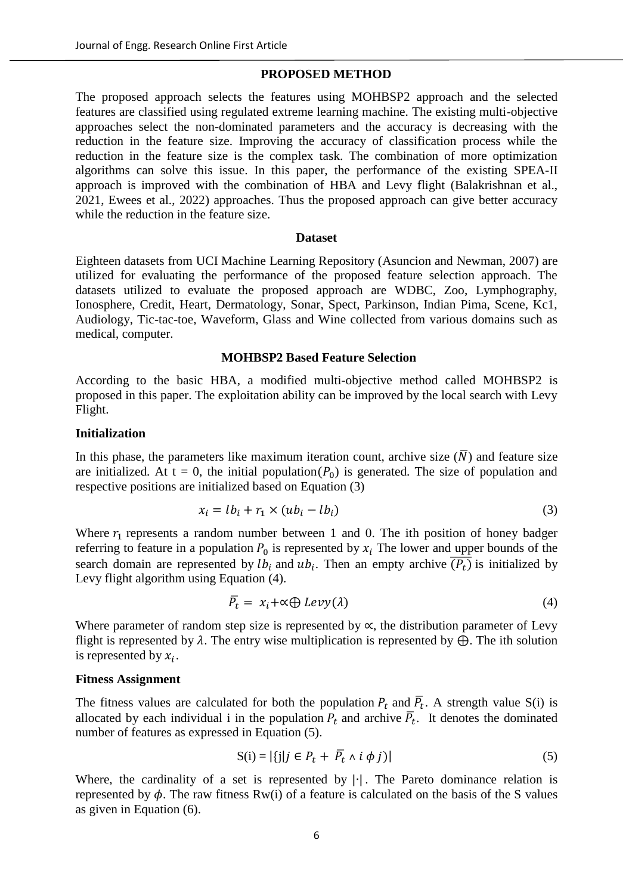## **PROPOSED METHOD**

The proposed approach selects the features using MOHBSP2 approach and the selected features are classified using regulated extreme learning machine. The existing multi-objective approaches select the non-dominated parameters and the accuracy is decreasing with the reduction in the feature size. Improving the accuracy of classification process while the reduction in the feature size is the complex task. The combination of more optimization algorithms can solve this issue. In this paper, the performance of the existing SPEA-II approach is improved with the combination of HBA and Levy flight (Balakrishnan et al., 2021, Ewees et al., 2022) approaches. Thus the proposed approach can give better accuracy while the reduction in the feature size.

#### **Dataset**

Eighteen datasets from UCI Machine Learning Repository (Asuncion and Newman, 2007) are utilized for evaluating the performance of the proposed feature selection approach. The datasets utilized to evaluate the proposed approach are WDBC, Zoo, Lymphography, Ionosphere, Credit, Heart, Dermatology, Sonar, Spect, Parkinson, Indian Pima, Scene, Kc1, Audiology, Tic-tac-toe, Waveform, Glass and Wine collected from various domains such as medical, computer.

#### **MOHBSP2 Based Feature Selection**

According to the basic HBA, a modified multi-objective method called MOHBSP2 is proposed in this paper. The exploitation ability can be improved by the local search with Levy Flight.

### **Initialization**

In this phase, the parameters like maximum iteration count, archive size  $(\overline{N})$  and feature size are initialized. At  $t = 0$ , the initial population( $P_0$ ) is generated. The size of population and respective positions are initialized based on Equation (3)

$$
x_i = lb_i + r_1 \times (ub_i - lb_i)
$$
\n<sup>(3)</sup>

Where  $r_1$  represents a random number between 1 and 0. The ith position of honey badger referring to feature in a population  $P_0$  is represented by  $x_i$  The lower and upper bounds of the search domain are represented by  $lb_i$  and  $ub_i$ . Then an empty archive  $\overline{(P_t)}$  is initialized by Levy flight algorithm using Equation (4).

$$
\overline{P}_t = x_i + \alpha \oplus \text{Levy}(\lambda) \tag{4}
$$

Where parameter of random step size is represented by  $\alpha$ , the distribution parameter of Levy flight is represented by  $\lambda$ . The entry wise multiplication is represented by  $\bigoplus$ . The ith solution is represented by  $x_i$ .

#### **Fitness Assignment**

The fitness values are calculated for both the population  $P_t$  and  $\overline{P}_t$ . A strength value S(i) is allocated by each individual i in the population  $P_t$  and archive  $\overline{P}_t$ . It denotes the dominated number of features as expressed in Equation (5).

$$
S(i) = |\{j|j \in P_t + \overline{P_t} \land i \phi j\}| \tag{5}
$$

Where, the cardinality of a set is represented by |∙|. The Pareto dominance relation is represented by  $\phi$ . The raw fitness Rw(i) of a feature is calculated on the basis of the S values as given in Equation (6).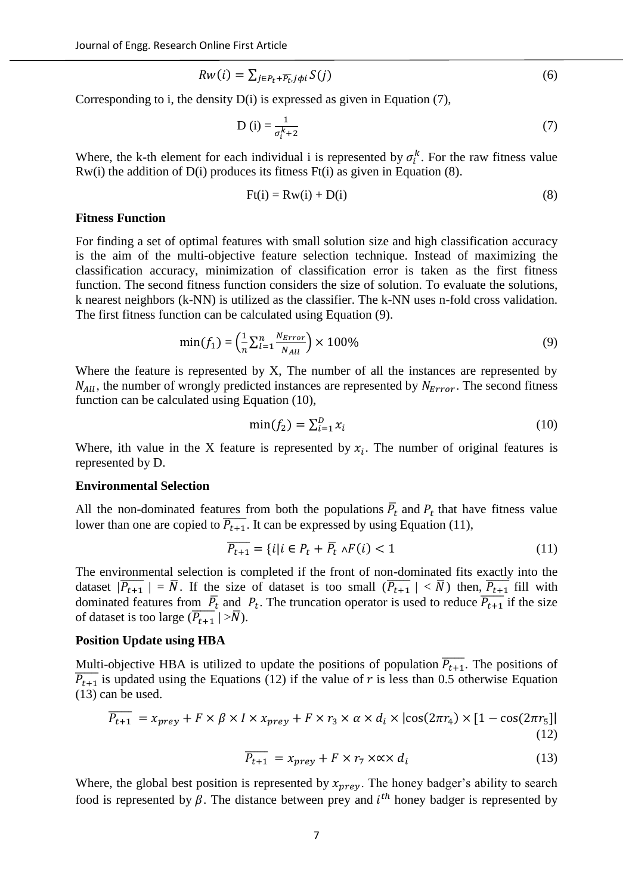$$
Rw(i) = \sum_{j \in P_t + \overline{P_t}, j \phi i} S(j) \tag{6}
$$

Corresponding to i, the density D(i) is expressed as given in Equation (7),

$$
D(i) = \frac{1}{\sigma_i^k + 2} \tag{7}
$$

Where, the k-th element for each individual i is represented by  $\sigma_i^k$ . For the raw fitness value  $Rw(i)$  the addition of  $D(i)$  produces its fitness  $Ft(i)$  as given in Equation (8).

$$
F(ti) = Rw(i) + D(i)
$$
 (8)

#### **Fitness Function**

For finding a set of optimal features with small solution size and high classification accuracy is the aim of the multi-objective feature selection technique. Instead of maximizing the classification accuracy, minimization of classification error is taken as the first fitness function. The second fitness function considers the size of solution. To evaluate the solutions, k nearest neighbors (k-NN) is utilized as the classifier. The k-NN uses n-fold cross validation. The first fitness function can be calculated using Equation (9).

$$
\min(f_1) = \left(\frac{1}{n} \sum_{l=1}^{n} \frac{N_{Error}}{N_{All}}\right) \times 100\%
$$
\n(9)

Where the feature is represented by X, The number of all the instances are represented by  $N_{All}$ , the number of wrongly predicted instances are represented by  $N_{Error}$ . The second fitness function can be calculated using Equation (10),

$$
\min(f_2) = \sum_{i=1}^{D} x_i \tag{10}
$$

Where, ith value in the X feature is represented by  $x_i$ . The number of original features is represented by D.

### **Environmental Selection**

All the non-dominated features from both the populations  $\overline{P}_t$  and  $P_t$  that have fitness value lower than one are copied to  $\overline{P_{t+1}}$ . It can be expressed by using Equation (11),

$$
\overline{P_{t+1}} = \{i \mid i \in P_t + \overline{P}_t \land F(i) < 1 \tag{11}
$$

The environmental selection is completed if the front of non-dominated fits exactly into the dataset  $|\overline{P_{t+1}}| = \overline{N}$ . If the size of dataset is too small  $(\overline{P_{t+1}}| < \overline{N})$  then,  $\overline{P_{t+1}}$  fill with dominated features from  $\overline{P}_t$  and  $P_t$ . The truncation operator is used to reduce  $\overline{P_{t+1}}$  if the size of dataset is too large  $(\overline{P_{t+1}} \mid > \overline{N})$ .

#### **Position Update using HBA**

Multi-objective HBA is utilized to update the positions of population  $\overline{P_{t+1}}$ . The positions of  $\overline{P_{t+1}}$  is updated using the Equations (12) if the value of r is less than 0.5 otherwise Equation (13) can be used.

$$
\overline{P_{t+1}} = x_{prey} + F \times \beta \times I \times x_{prey} + F \times r_3 \times \alpha \times d_i \times |\cos(2\pi r_4) \times [1 - \cos(2\pi r_5)]|
$$
\n(12)

$$
\overline{P_{t+1}} = x_{prey} + F \times r_7 \times \times \times d_i \tag{13}
$$

Where, the global best position is represented by  $x_{prey}$ . The honey badger's ability to search food is represented by  $\beta$ . The distance between prey and  $i^{th}$  honey badger is represented by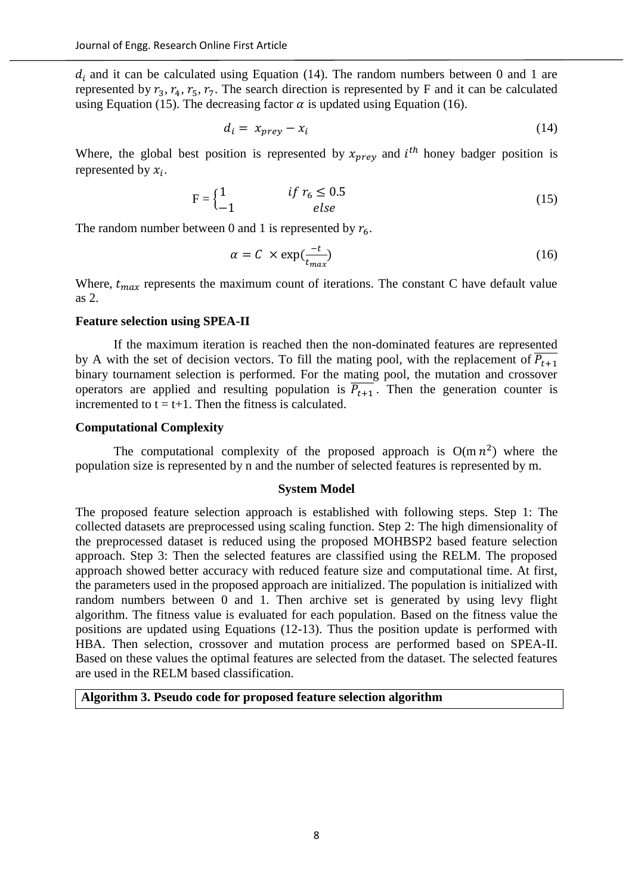$d_i$  and it can be calculated using Equation (14). The random numbers between 0 and 1 are represented by  $r_3$ ,  $r_4$ ,  $r_5$ ,  $r_7$ . The search direction is represented by F and it can be calculated using Equation (15). The decreasing factor  $\alpha$  is updated using Equation (16).

$$
d_i = x_{prey} - x_i \tag{14}
$$

Where, the global best position is represented by  $x_{prey}$  and  $i^{th}$  honey badger position is represented by  $x_i$ .

$$
F = \begin{cases} 1 & \text{if } r_6 \le 0.5\\ -1 & \text{else} \end{cases}
$$
 (15)

The random number between 0 and 1 is represented by  $r_6$ .

$$
\alpha = C \times \exp(\frac{-t}{t_{max}}) \tag{16}
$$

Where,  $t_{max}$  represents the maximum count of iterations. The constant C have default value as 2.

### **Feature selection using SPEA-II**

If the maximum iteration is reached then the non-dominated features are represented by A with the set of decision vectors. To fill the mating pool, with the replacement of  $\overline{P_{t+1}}$ binary tournament selection is performed. For the mating pool, the mutation and crossover operators are applied and resulting population is  $\overline{P_{t+1}}$ . Then the generation counter is incremented to  $t = t+1$ . Then the fitness is calculated.

## **Computational Complexity**

The computational complexity of the proposed approach is  $O(m n^2)$  where the population size is represented by n and the number of selected features is represented by m.

#### **System Model**

The proposed feature selection approach is established with following steps. Step 1: The collected datasets are preprocessed using scaling function. Step 2: The high dimensionality of the preprocessed dataset is reduced using the proposed MOHBSP2 based feature selection approach. Step 3: Then the selected features are classified using the RELM. The proposed approach showed better accuracy with reduced feature size and computational time. At first, the parameters used in the proposed approach are initialized. The population is initialized with random numbers between 0 and 1. Then archive set is generated by using levy flight algorithm. The fitness value is evaluated for each population. Based on the fitness value the positions are updated using Equations (12-13). Thus the position update is performed with HBA. Then selection, crossover and mutation process are performed based on SPEA-II. Based on these values the optimal features are selected from the dataset. The selected features are used in the RELM based classification.

**Algorithm 3. Pseudo code for proposed feature selection algorithm**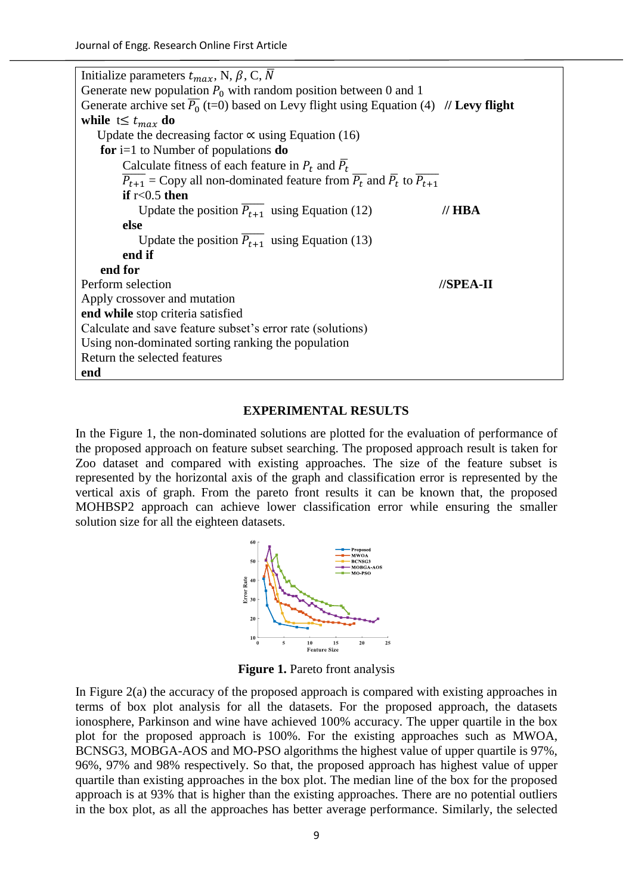Initialize parameters  $t_{max}$ , N,  $\beta$ , C,  $\overline{N}$ Generate new population  $P_0$  with random position between 0 and 1 Generate archive set  $\overline{P_0}$  (t=0) based on Levy flight using Equation (4) **// Levy flight while**  $t≤ t_{max}$  **do** Update the decreasing factor  $\propto$  using Equation (16)  **for** i=1 to Number of populations **do** Calculate fitness of each feature in  $P_t$  and  $\overline{P}_t$  $\overline{P_{t+1}}$  = Copy all non-dominated feature from  $\overline{P_t}$  and  $\overline{P_t}$  to  $\overline{P_{t+1}}$  **if** r<0.5 **then** Update the position  $\overline{P_{t+1}}$  using Equation (12) // **HBA else** Update the position  $\overline{P_{t+1}}$  using Equation (13) **end if end for** Perform selection **//SPEA-II** Apply crossover and mutation **end while** stop criteria satisfied Calculate and save feature subset's error rate (solutions) Using non-dominated sorting ranking the population Return the selected features **end**

### **EXPERIMENTAL RESULTS**

In the Figure 1, the non-dominated solutions are plotted for the evaluation of performance of the proposed approach on feature subset searching. The proposed approach result is taken for Zoo dataset and compared with existing approaches. The size of the feature subset is represented by the horizontal axis of the graph and classification error is represented by the vertical axis of graph. From the pareto front results it can be known that, the proposed MOHBSP2 approach can achieve lower classification error while ensuring the smaller solution size for all the eighteen datasets.



**Figure 1.** Pareto front analysis

In Figure 2(a) the accuracy of the proposed approach is compared with existing approaches in terms of box plot analysis for all the datasets. For the proposed approach, the datasets ionosphere, Parkinson and wine have achieved 100% accuracy. The upper quartile in the box plot for the proposed approach is 100%. For the existing approaches such as MWOA, BCNSG3, MOBGA-AOS and MO-PSO algorithms the highest value of upper quartile is 97%, 96%, 97% and 98% respectively. So that, the proposed approach has highest value of upper quartile than existing approaches in the box plot. The median line of the box for the proposed approach is at 93% that is higher than the existing approaches. There are no potential outliers in the box plot, as all the approaches has better average performance. Similarly, the selected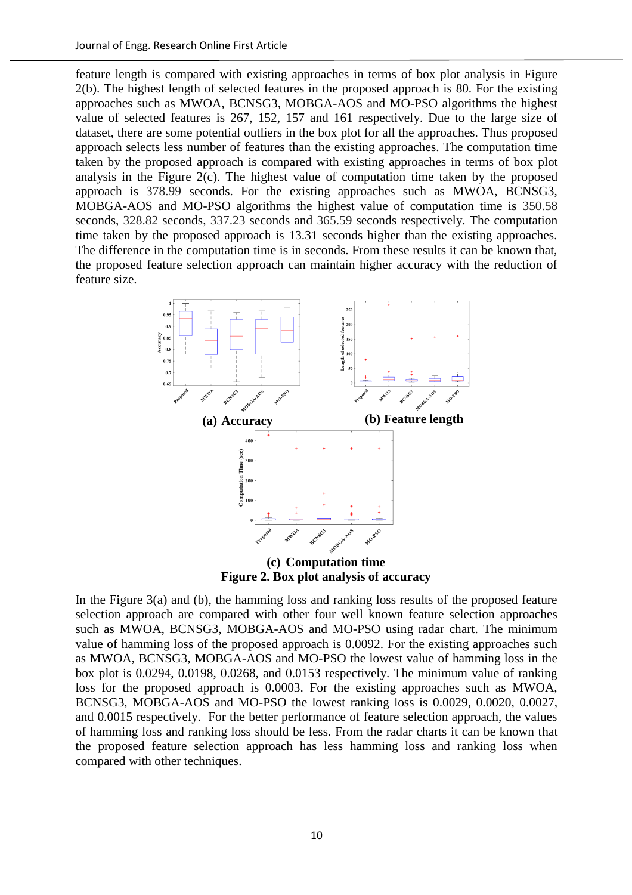feature length is compared with existing approaches in terms of box plot analysis in Figure 2(b). The highest length of selected features in the proposed approach is 80. For the existing approaches such as MWOA, BCNSG3, MOBGA-AOS and MO-PSO algorithms the highest value of selected features is 267, 152, 157 and 161 respectively. Due to the large size of dataset, there are some potential outliers in the box plot for all the approaches. Thus proposed approach selects less number of features than the existing approaches. The computation time taken by the proposed approach is compared with existing approaches in terms of box plot analysis in the Figure 2(c). The highest value of computation time taken by the proposed approach is 378.99 seconds. For the existing approaches such as MWOA, BCNSG3, MOBGA-AOS and MO-PSO algorithms the highest value of computation time is 350.58 seconds, 328.82 seconds, 337.23 seconds and 365.59 seconds respectively. The computation time taken by the proposed approach is 13.31 seconds higher than the existing approaches. The difference in the computation time is in seconds. From these results it can be known that, the proposed feature selection approach can maintain higher accuracy with the reduction of feature size.



**(c) Computation time Figure 2. Box plot analysis of accuracy**

In the Figure  $3(a)$  and (b), the hamming loss and ranking loss results of the proposed feature selection approach are compared with other four well known feature selection approaches such as MWOA, BCNSG3, MOBGA-AOS and MO-PSO using radar chart. The minimum value of hamming loss of the proposed approach is 0.0092. For the existing approaches such as MWOA, BCNSG3, MOBGA-AOS and MO-PSO the lowest value of hamming loss in the box plot is 0.0294, 0.0198, 0.0268, and 0.0153 respectively. The minimum value of ranking loss for the proposed approach is 0.0003. For the existing approaches such as MWOA, BCNSG3, MOBGA-AOS and MO-PSO the lowest ranking loss is 0.0029, 0.0020, 0.0027, and 0.0015 respectively. For the better performance of feature selection approach, the values of hamming loss and ranking loss should be less. From the radar charts it can be known that the proposed feature selection approach has less hamming loss and ranking loss when compared with other techniques.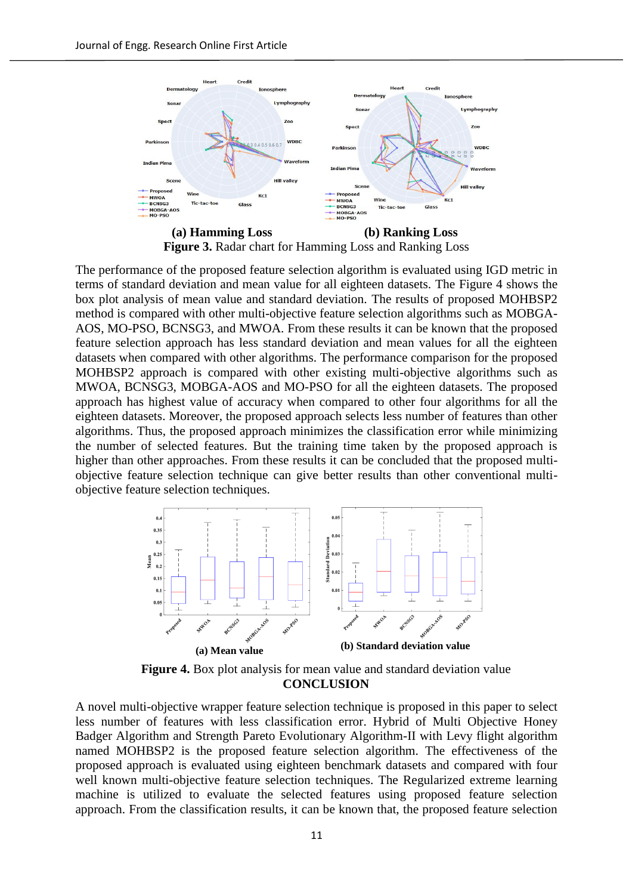

**Figure 3.** Radar chart for Hamming Loss and Ranking Loss

The performance of the proposed feature selection algorithm is evaluated using IGD metric in terms of standard deviation and mean value for all eighteen datasets. The Figure 4 shows the box plot analysis of mean value and standard deviation. The results of proposed MOHBSP2 method is compared with other multi-objective feature selection algorithms such as MOBGA-AOS, MO-PSO, BCNSG3, and MWOA. From these results it can be known that the proposed feature selection approach has less standard deviation and mean values for all the eighteen datasets when compared with other algorithms. The performance comparison for the proposed MOHBSP2 approach is compared with other existing multi-objective algorithms such as MWOA, BCNSG3, MOBGA-AOS and MO-PSO for all the eighteen datasets. The proposed approach has highest value of accuracy when compared to other four algorithms for all the eighteen datasets. Moreover, the proposed approach selects less number of features than other algorithms. Thus, the proposed approach minimizes the classification error while minimizing the number of selected features. But the training time taken by the proposed approach is higher than other approaches. From these results it can be concluded that the proposed multiobjective feature selection technique can give better results than other conventional multiobjective feature selection techniques.



**Figure 4.** Box plot analysis for mean value and standard deviation value **CONCLUSION**

A novel multi-objective wrapper feature selection technique is proposed in this paper to select less number of features with less classification error. Hybrid of Multi Objective Honey Badger Algorithm and Strength Pareto Evolutionary Algorithm-II with Levy flight algorithm named MOHBSP2 is the proposed feature selection algorithm. The effectiveness of the proposed approach is evaluated using eighteen benchmark datasets and compared with four well known multi-objective feature selection techniques. The Regularized extreme learning machine is utilized to evaluate the selected features using proposed feature selection approach. From the classification results, it can be known that, the proposed feature selection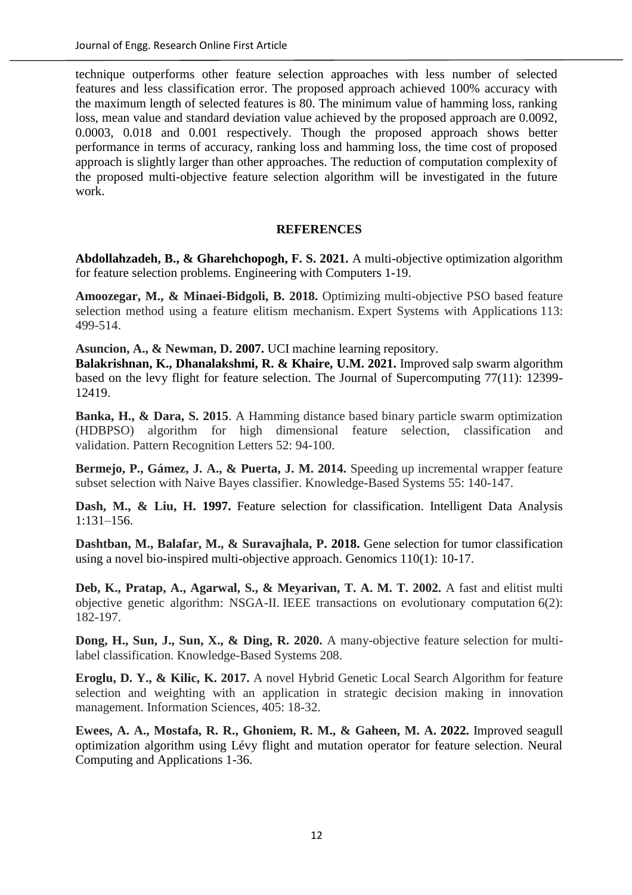technique outperforms other feature selection approaches with less number of selected features and less classification error. The proposed approach achieved 100% accuracy with the maximum length of selected features is 80. The minimum value of hamming loss, ranking loss, mean value and standard deviation value achieved by the proposed approach are 0.0092, 0.0003, 0.018 and 0.001 respectively. Though the proposed approach shows better performance in terms of accuracy, ranking loss and hamming loss, the time cost of proposed approach is slightly larger than other approaches. The reduction of computation complexity of the proposed multi-objective feature selection algorithm will be investigated in the future work.

## **REFERENCES**

**Abdollahzadeh, B., & Gharehchopogh, F. S. 2021.** A multi-objective optimization algorithm for feature selection problems. Engineering with Computers 1-19.

**Amoozegar, M., & Minaei-Bidgoli, B. 2018.** Optimizing multi-objective PSO based feature selection method using a feature elitism mechanism. Expert Systems with Applications 113: 499-514.

**Asuncion, A., & Newman, D. 2007.** UCI machine learning repository.

**Balakrishnan, K., Dhanalakshmi, R. & Khaire, U.M. 2021.** Improved salp swarm algorithm based on the levy flight for feature selection. The Journal of Supercomputing 77(11): 12399- 12419.

**Banka, H., & Dara, S. 2015**. A Hamming distance based binary particle swarm optimization (HDBPSO) algorithm for high dimensional feature selection, classification and validation. Pattern Recognition Letters 52: 94-100.

**Bermejo, P., Gámez, J. A., & Puerta, J. M. 2014.** Speeding up incremental wrapper feature subset selection with Naive Bayes classifier. Knowledge-Based Systems 55: 140-147.

**Dash, M., & Liu, H. 1997.** Feature selection for classification. Intelligent Data Analysis 1:131–156.

**Dashtban, M., Balafar, M., & Suravajhala, P. 2018.** Gene selection for tumor classification using a novel bio-inspired multi-objective approach. Genomics 110(1): 10-17.

**Deb, K., Pratap, A., Agarwal, S., & Meyarivan, T. A. M. T. 2002.** A fast and elitist multi objective genetic algorithm: NSGA-II. IEEE transactions on evolutionary computation 6(2): 182-197.

**Dong, H., Sun, J., Sun, X., & Ding, R. 2020.** A many-objective feature selection for multilabel classification. Knowledge-Based Systems 208.

**Eroglu, D. Y., & Kilic, K. 2017.** A novel Hybrid Genetic Local Search Algorithm for feature selection and weighting with an application in strategic decision making in innovation management. Information Sciences, 405: 18-32.

**Ewees, A. A., Mostafa, R. R., Ghoniem, R. M., & Gaheen, M. A. 2022.** Improved seagull optimization algorithm using Lévy flight and mutation operator for feature selection. Neural Computing and Applications 1-36.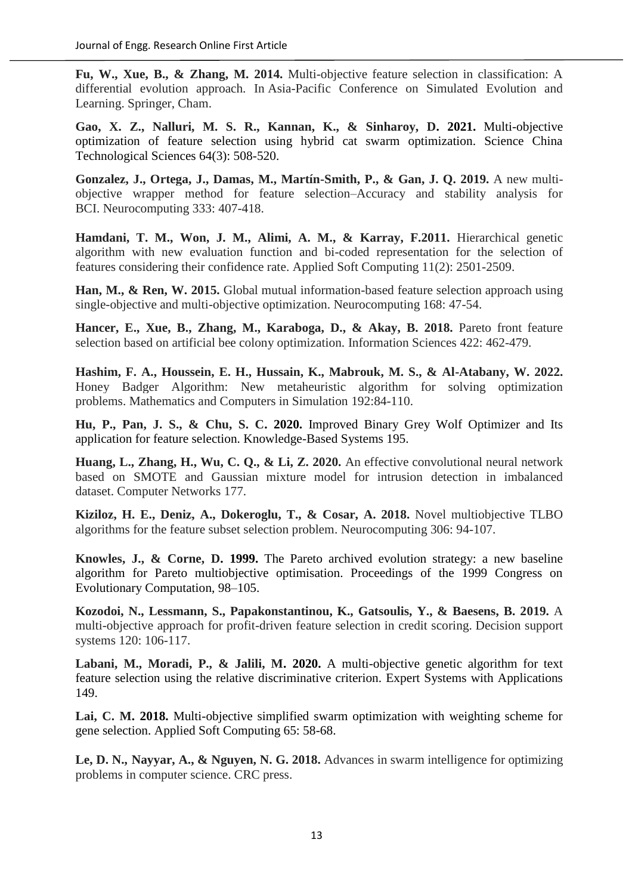**Fu, W., Xue, B., & Zhang, M. 2014.** Multi-objective feature selection in classification: A differential evolution approach. In Asia-Pacific Conference on Simulated Evolution and Learning. Springer, Cham.

**Gao, X. Z., Nalluri, M. S. R., Kannan, K., & Sinharoy, D. 2021.** Multi-objective optimization of feature selection using hybrid cat swarm optimization. Science China Technological Sciences 64(3): 508-520.

**Gonzalez, J., Ortega, J., Damas, M., Martín-Smith, P., & Gan, J. Q. 2019.** A new multiobjective wrapper method for feature selection–Accuracy and stability analysis for BCI. Neurocomputing 333: 407-418.

**Hamdani, T. M., Won, J. M., Alimi, A. M., & Karray, F.2011.** Hierarchical genetic algorithm with new evaluation function and bi-coded representation for the selection of features considering their confidence rate. Applied Soft Computing 11(2): 2501-2509.

**Han, M., & Ren, W. 2015.** Global mutual information-based feature selection approach using single-objective and multi-objective optimization. Neurocomputing 168: 47-54.

**Hancer, E., Xue, B., Zhang, M., Karaboga, D., & Akay, B. 2018.** Pareto front feature selection based on artificial bee colony optimization. Information Sciences 422: 462-479.

**Hashim, F. A., Houssein, E. H., Hussain, K., Mabrouk, M. S., & Al-Atabany, W. 2022.** Honey Badger Algorithm: New metaheuristic algorithm for solving optimization problems. Mathematics and Computers in Simulation 192:84-110.

**Hu, P., Pan, J. S., & Chu, S. C. 2020.** Improved Binary Grey Wolf Optimizer and Its application for feature selection. Knowledge-Based Systems 195.

**Huang, L., Zhang, H., Wu, C. Q., & Li, Z. 2020.** An effective convolutional neural network based on SMOTE and Gaussian mixture model for intrusion detection in imbalanced dataset. Computer Networks 177.

**Kiziloz, H. E., Deniz, A., Dokeroglu, T., & Cosar, A. 2018.** Novel multiobjective TLBO algorithms for the feature subset selection problem. Neurocomputing 306: 94-107.

**Knowles, J., & Corne, D. 1999.** The Pareto archived evolution strategy: a new baseline algorithm for Pareto multiobjective optimisation. Proceedings of the 1999 Congress on Evolutionary Computation, 98–105.

**Kozodoi, N., Lessmann, S., Papakonstantinou, K., Gatsoulis, Y., & Baesens, B. 2019.** A multi-objective approach for profit-driven feature selection in credit scoring. Decision support systems 120: 106-117.

**Labani, M., Moradi, P., & Jalili, M. 2020.** A multi-objective genetic algorithm for text feature selection using the relative discriminative criterion. Expert Systems with Applications 149.

**Lai, C. M. 2018.** Multi-objective simplified swarm optimization with weighting scheme for gene selection. Applied Soft Computing 65: 58-68.

**Le, D. N., Nayyar, A., & Nguyen, N. G. 2018.** Advances in swarm intelligence for optimizing problems in computer science. CRC press.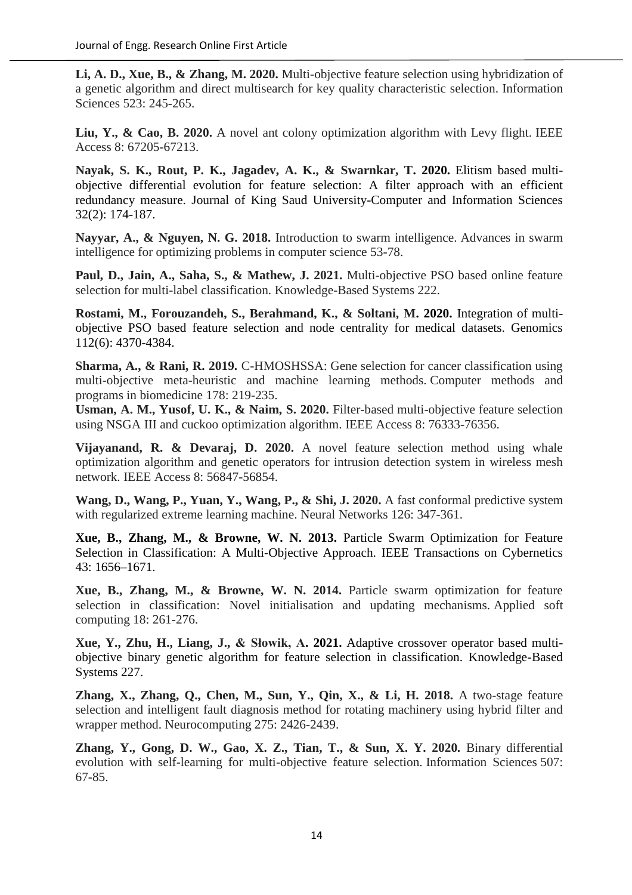**Li, A. D., Xue, B., & Zhang, M. 2020.** Multi-objective feature selection using hybridization of a genetic algorithm and direct multisearch for key quality characteristic selection. Information Sciences 523: 245-265.

Liu, Y., & Cao, B. 2020. A novel ant colony optimization algorithm with Levy flight. IEEE Access 8: 67205-67213.

**Nayak, S. K., Rout, P. K., Jagadev, A. K., & Swarnkar, T. 2020.** Elitism based multiobjective differential evolution for feature selection: A filter approach with an efficient redundancy measure. Journal of King Saud University-Computer and Information Sciences 32(2): 174-187.

**Nayyar, A., & Nguyen, N. G. 2018.** Introduction to swarm intelligence. Advances in swarm intelligence for optimizing problems in computer science 53-78.

**Paul, D., Jain, A., Saha, S., & Mathew, J. 2021.** Multi-objective PSO based online feature selection for multi-label classification. Knowledge-Based Systems 222.

**Rostami, M., Forouzandeh, S., Berahmand, K., & Soltani, M. 2020.** Integration of multiobjective PSO based feature selection and node centrality for medical datasets. Genomics 112(6): 4370-4384.

**Sharma, A., & Rani, R. 2019.** C-HMOSHSSA: Gene selection for cancer classification using multi-objective meta-heuristic and machine learning methods. Computer methods and programs in biomedicine 178: 219-235.

**Usman, A. M., Yusof, U. K., & Naim, S. 2020.** Filter-based multi-objective feature selection using NSGA III and cuckoo optimization algorithm. IEEE Access 8: 76333-76356.

**Vijayanand, R. & Devaraj, D. 2020.** A novel feature selection method using whale optimization algorithm and genetic operators for intrusion detection system in wireless mesh network. IEEE Access 8: 56847-56854.

**Wang, D., Wang, P., Yuan, Y., Wang, P., & Shi, J. 2020.** A fast conformal predictive system with regularized extreme learning machine. Neural Networks 126: 347-361.

**Xue, B., Zhang, M., & Browne, W. N. 2013.** Particle Swarm Optimization for Feature Selection in Classification: A Multi-Objective Approach. IEEE Transactions on Cybernetics 43: 1656–1671.

**Xue, B., Zhang, M., & Browne, W. N. 2014.** Particle swarm optimization for feature selection in classification: Novel initialisation and updating mechanisms. Applied soft computing 18: 261-276.

**Xue, Y., Zhu, H., Liang, J., & Słowik, A. 2021.** Adaptive crossover operator based multiobjective binary genetic algorithm for feature selection in classification. Knowledge-Based Systems 227.

**Zhang, X., Zhang, Q., Chen, M., Sun, Y., Qin, X., & Li, H. 2018.** A two-stage feature selection and intelligent fault diagnosis method for rotating machinery using hybrid filter and wrapper method. Neurocomputing 275: 2426-2439.

**Zhang, Y., Gong, D. W., Gao, X. Z., Tian, T., & Sun, X. Y. 2020.** Binary differential evolution with self-learning for multi-objective feature selection. Information Sciences 507: 67-85.